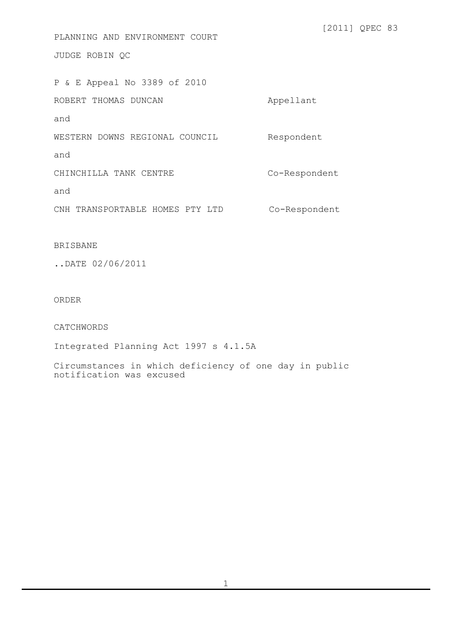JUDGE ROBIN QC P & E Appeal No 3389 of 2010 ROBERT THOMAS DUNCAN Annual Appellant and WESTERN DOWNS REGIONAL COUNCIL Respondent and CHINCHILLA TANK CENTRE CO-Respondent and CNH TRANSPORTABLE HOMES PTY LTD Co-Respondent

PLANNING AND ENVIRONMENT COURT

[2011] QPEC 83

BRISBANE

..DATE 02/06/2011

ORDER

CATCHWORDS

Integrated Planning Act 1997 s 4.1.5A

Circumstances in which deficiency of one day in public notification was excused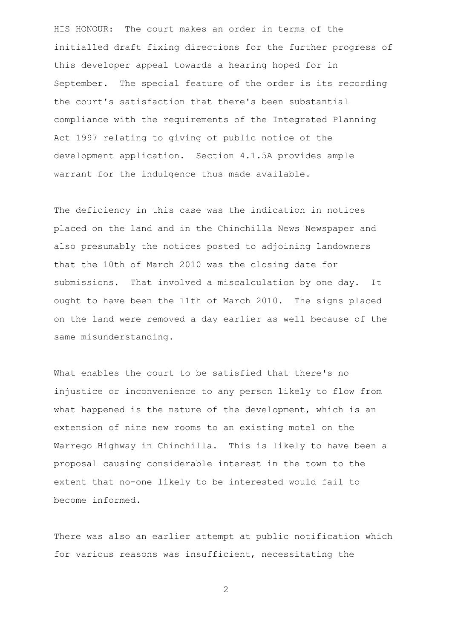HIS HONOUR: The court makes an order in terms of the initialled draft fixing directions for the further progress of this developer appeal towards a hearing hoped for in September. The special feature of the order is its recording the court's satisfaction that there's been substantial compliance with the requirements of the Integrated Planning Act 1997 relating to giving of public notice of the development application. Section 4.1.5A provides ample warrant for the indulgence thus made available.

The deficiency in this case was the indication in notices placed on the land and in the Chinchilla News Newspaper and also presumably the notices posted to adjoining landowners that the 10th of March 2010 was the closing date for submissions. That involved a miscalculation by one day. It ought to have been the 11th of March 2010. The signs placed on the land were removed a day earlier as well because of the same misunderstanding.

What enables the court to be satisfied that there's no injustice or inconvenience to any person likely to flow from what happened is the nature of the development, which is an extension of nine new rooms to an existing motel on the Warrego Highway in Chinchilla. This is likely to have been a proposal causing considerable interest in the town to the extent that no-one likely to be interested would fail to become informed.

There was also an earlier attempt at public notification which for various reasons was insufficient, necessitating the

2